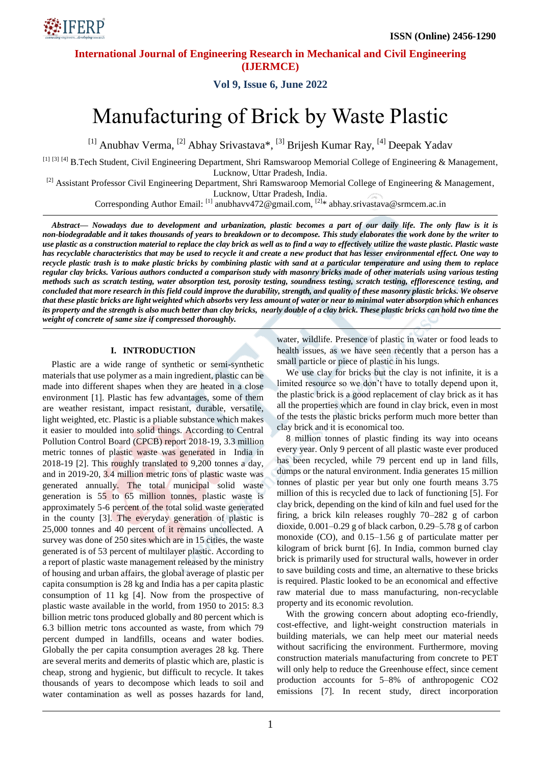

# **Vol 9, Issue 6, June 2022**

# Manufacturing of Brick by Waste Plastic

<sup>[1]</sup> Anubhav Verma, <sup>[2]</sup> Abhay Srivastava\*, <sup>[3]</sup> Brijesh Kumar Ray, <sup>[4]</sup> Deepak Yadav

[1] [3] [4] B.Tech Student, Civil Engineering Department, Shri Ramswaroop Memorial College of Engineering & Management, Lucknow, Uttar Pradesh, India.

<sup>[2]</sup> Assistant Professor Civil Engineering Department, Shri Ramswaroop Memorial College of Engineering & Management, Lucknow, Uttar Pradesh, India.

Corresponding Author Email: [1] anubhavv472@gmail.com, [2]\* abhay.srivastava@srmcem.ac.in

*Abstract— Nowadays due to development and urbanization, plastic becomes a part of our daily life. The only flaw is it is non-biodegradable and it takes thousands of years to breakdown or to decompose. This study elaborates the work done by the writer to use plastic as a construction material to replace the clay brick as well as to find a way to effectively utilize the waste plastic. Plastic waste has recyclable characteristics that may be used to recycle it and create a new product that has lesser environmental effect. One way to recycle plastic trash is to make plastic bricks by combining plastic with sand at a particular temperature and using them to replace regular clay bricks. Various authors conducted a comparison study with masonry bricks made of other materials using various testing methods such as scratch testing, water absorption test, porosity testing, soundness testing, scratch testing, efflorescence testing, and concluded that more research in this field could improve the durability, strength, and quality of these masonry plastic bricks. We observe that these plastic bricks are light weighted which absorbs very less amount of water or near to minimal water absorption which enhances its property and the strength is also much better than clay bricks, nearly double of a clay brick. These plastic bricks can hold two time the weight of concrete of same size if compressed thoroughly.*

## **I. INTRODUCTION**

Plastic are a wide range of synthetic or semi-synthetic materials that use polymer as a main ingredient, plastic can be made into different shapes when they are heated in a close environment [1]. Plastic has few advantages, some of them are weather resistant, impact resistant, durable, versatile, light weighted, etc. Plastic is a pliable substance which makes it easier to moulded into solid things. According to Central Pollution Control Board (CPCB) report 2018-19, 3.3 million metric tonnes of plastic waste was generated in India in 2018-19 [2]. This roughly translated to 9,200 tonnes a day, and in 2019-20, 3.4 million metric tons of plastic waste was generated annually. The total municipal solid waste generation is 55 to 65 million tonnes, plastic waste is approximately 5-6 percent of the total solid waste generated in the county [3]. The everyday generation of plastic is 25,000 tonnes and 40 percent of it remains uncollected. A survey was done of 250 sites which are in 15 cities, the waste generated is of 53 percent of multilayer plastic. According to a report of plastic waste management released by the ministry of housing and urban affairs, the global average of plastic per capita consumption is 28 kg and India has a per capita plastic consumption of 11 kg [4]. Now from the prospective of plastic waste available in the world, from 1950 to 2015: 8.3 billion metric tons produced globally and 80 percent which is 6.3 billion metric tons accounted as waste, from which 79 percent dumped in landfills, oceans and water bodies. Globally the per capita consumption averages 28 kg. There are several merits and demerits of plastic which are, plastic is cheap, strong and hygienic, but difficult to recycle. It takes thousands of years to decompose which leads to soil and water contamination as well as posses hazards for land,

water, wildlife. Presence of plastic in water or food leads to health issues, as we have seen recently that a person has a small particle or piece of plastic in his lungs.

We use clay for bricks but the clay is not infinite, it is a limited resource so we don't have to totally depend upon it, the plastic brick is a good replacement of clay brick as it has all the properties which are found in clay brick, even in most of the tests the plastic bricks perform much more better than clay brick and it is economical too.

8 million tonnes of plastic finding its way into oceans every year. Only 9 percent of all plastic waste ever produced has been recycled, while 79 percent end up in land fills, dumps or the natural environment. India generates 15 million tonnes of plastic per year but only one fourth means 3.75 million of this is recycled due to lack of functioning [5]. For clay brick, depending on the kind of kiln and fuel used for the firing, a brick kiln releases roughly 70–282 g of carbon dioxide, 0.001–0.29 g of black carbon, 0.29–5.78 g of carbon monoxide (CO), and 0.15–1.56 g of particulate matter per kilogram of brick burnt [6]. In India, common burned clay brick is primarily used for structural walls, however in order to save building costs and time, an alternative to these bricks is required. Plastic looked to be an economical and effective raw material due to mass manufacturing, non-recyclable property and its economic revolution.

With the growing concern about adopting eco-friendly, cost-effective, and light-weight construction materials in building materials, we can help meet our material needs without sacrificing the environment. Furthermore, moving construction materials manufacturing from concrete to PET will only help to reduce the Greenhouse effect, since cement production accounts for 5–8% of anthropogenic CO2 emissions [7]. In recent study, direct incorporation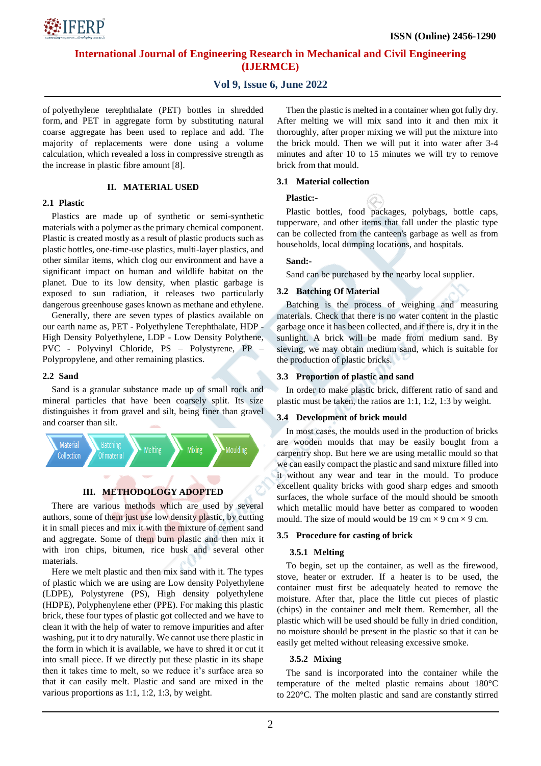

## **Vol 9, Issue 6, June 2022**

of polyethylene terephthalate (PET) bottles in shredded form, and PET in aggregate form by substituting natural coarse aggregate has been used to replace and add. The majority of replacements were done using a volume calculation, which revealed a loss in compressive strength as the increase in plastic fibre amount [8].

#### **II. MATERIAL USED**

#### **2.1 Plastic**

Plastics are made up of synthetic or semi-synthetic materials with a polymer as the primary chemical component. Plastic is created mostly as a result of plastic products such as plastic bottles, one-time-use plastics, multi-layer plastics, and other similar items, which clog our environment and have a significant impact on human and wildlife habitat on the planet. Due to its low density, when plastic garbage is exposed to sun radiation, it releases two particularly dangerous greenhouse gases known as methane and ethylene.

Generally, there are seven types of plastics available on our earth name as, PET - Polyethylene Terephthalate, HDP - High Density Polyethylene, LDP - Low Density Polythene, PVC - Polyvinyl Chloride, PS – Polystyrene, PP – Polypropylene, and other remaining plastics.

#### **2.2 Sand**

Sand is a granular substance made up of small rock and mineral particles that have been coarsely split. Its size distinguishes it from gravel and silt, being finer than gravel and coarser than silt.



## **III. METHODOLOGY ADOPTED**

There are various methods which are used by several authors, some of them just use low density plastic, by cutting it in small pieces and mix it with the mixture of cement sand and aggregate. Some of them burn plastic and then mix it with iron chips, bitumen, rice husk and several other materials.

Here we melt plastic and then mix sand with it. The types of plastic which we are using are Low density Polyethylene (LDPE), Polystyrene (PS), High density polyethylene (HDPE), Polyphenylene ether (PPE). For making this plastic brick, these four types of plastic got collected and we have to clean it with the help of water to remove impurities and after washing, put it to dry naturally. We cannot use there plastic in the form in which it is available, we have to shred it or cut it into small piece. If we directly put these plastic in its shape then it takes time to melt, so we reduce it's surface area so that it can easily melt. Plastic and sand are mixed in the various proportions as 1:1, 1:2, 1:3, by weight.

Then the plastic is melted in a container when got fully dry. After melting we will mix sand into it and then mix it thoroughly, after proper mixing we will put the mixture into the brick mould. Then we will put it into water after 3-4 minutes and after 10 to 15 minutes we will try to remove brick from that mould.

#### **3.1 Material collection**

## **Plastic:-**

Plastic bottles, food packages, polybags, bottle caps, tupperware, and other items that fall under the plastic type can be collected from the canteen's garbage as well as from households, local dumping locations, and hospitals.

#### **Sand:-**

Sand can be purchased by the nearby local supplier.

#### **3.2 Batching Of Material**

Batching is the process of weighing and measuring materials. Check that there is no water content in the plastic garbage once it has been collected, and if there is, dry it in the sunlight. A brick will be made from medium sand. By sieving, we may obtain medium sand, which is suitable for the production of plastic bricks.

#### **3.3 Proportion of plastic and sand**

In order to make plastic brick, different ratio of sand and plastic must be taken, the ratios are 1:1, 1:2, 1:3 by weight.

#### **3.4 Development of brick mould**

In most cases, the moulds used in the production of bricks are wooden moulds that may be easily bought from a carpentry shop. But here we are using metallic mould so that we can easily compact the plastic and sand mixture filled into it without any wear and tear in the mould. To produce excellent quality bricks with good sharp edges and smooth surfaces, the whole surface of the mould should be smooth which metallic mould have better as compared to wooden mould. The size of mould would be 19 cm  $\times$  9 cm  $\times$  9 cm.

#### **3.5 Procedure for casting of brick**

#### **3.5.1 Melting**

To begin, set up the container, as well as the firewood, stove, heater or extruder. If a heater is to be used, the container must first be adequately heated to remove the moisture. After that, place the little cut pieces of plastic (chips) in the container and melt them. Remember, all the plastic which will be used should be fully in dried condition, no moisture should be present in the plastic so that it can be easily get melted without releasing excessive smoke.

#### **3.5.2 Mixing**

The sand is incorporated into the container while the temperature of the melted plastic remains about 180°C to 220°C. The molten plastic and sand are constantly stirred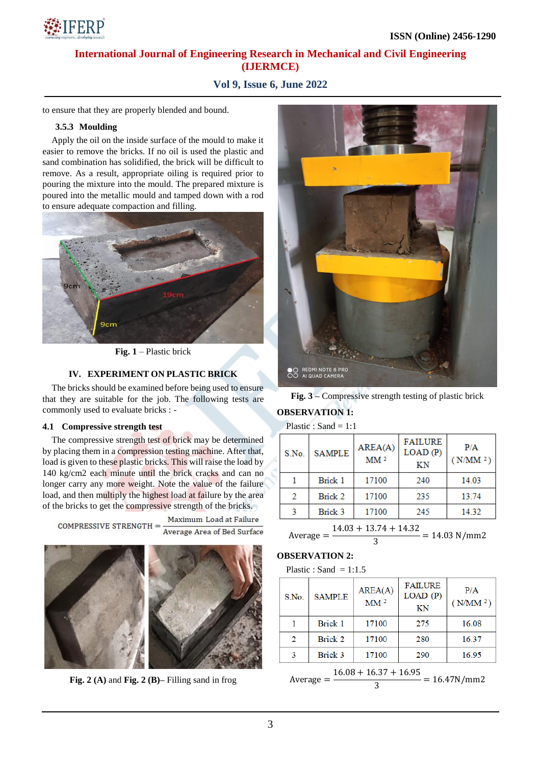

# **Vol 9, Issue 6, June 2022**

to ensure that they are properly blended and bound.

## **3.5.3 Moulding**

Apply the oil on the inside surface of the mould to make it easier to remove the bricks. If no oil is used the plastic and sand combination has solidified, the brick will be difficult to remove. As a result, appropriate oiling is required prior to pouring the mixture into the mould. The prepared mixture is poured into the metallic mould and tamped down with a rod to ensure adequate compaction and filling.



**Fig. 1** – Plastic brick

## **IV. EXPERIMENT ON PLASTIC BRICK**

The bricks should be examined before being used to ensure that they are suitable for the job. The following tests are commonly used to evaluate bricks : -

## **4.1 Compressive strength test**

The compressive strength test of brick may be determined by placing them in a compression testing machine. After that, load is given to these plastic bricks. This will raise the load by 140 kg/cm2 each minute until the brick cracks and can no longer carry any more weight. Note the value of the failure load, and then multiply the highest load at failure by the area of the bricks to get the compressive strength of the bricks.

Maximum Load at Failure COMPRESSIVE STRENGTH  $=$ Average Area of Bed Surface



**Fig. 2 (A)** and **Fig. 2 (B)–** Filling sand in frog



**Fig. 3 –** Compressive strength testing of plastic brick

## **OBSERVATION 1:**

Plastic : Sand =  $1:1$ 

| S.No.         | <b>SAMPLE</b> | AREA(A)<br>MM <sup>2</sup> | <b>FAILURE</b><br>LOAD(P)<br>KN | P/A<br>(N/MM <sup>2</sup> ) |
|---------------|---------------|----------------------------|---------------------------------|-----------------------------|
|               | Brick 1       | 17100                      | 240                             | 14.03                       |
| $\mathcal{D}$ | Brick 2       | 17100                      | 235                             | 13.74                       |
|               | Brick 3       | 17100                      | 245                             | 14.32                       |

Average  $=$   $\frac{1}{1}$  $\frac{1}{3}$  =

## **OBSERVATION 2:**

Plastic : Sand =  $1:1.5$ 

| S.No.                                                  | <b>SAMPLE</b> | AREA(A)<br>$\text{MM}$ $^2$ | <b>FAILURE</b><br>LOAD(P)<br>KN | P/A<br>(N/MM <sup>2</sup> ) |
|--------------------------------------------------------|---------------|-----------------------------|---------------------------------|-----------------------------|
|                                                        | Brick 1       | 17100                       | 275                             | 16.08                       |
| 2                                                      | Brick 2       | 17100                       | 280                             | 16.37                       |
| 3                                                      | Brick 3       | 17100                       | 290                             | 16.95                       |
| $16.08 + 16.37 + 16.95$<br>$= 16.47N/mm2$<br>Average = |               |                             |                                 |                             |

$$
average = \frac{10.00 + 10.37 + 10.93}{3} = 16.47 \text{N/mm2}
$$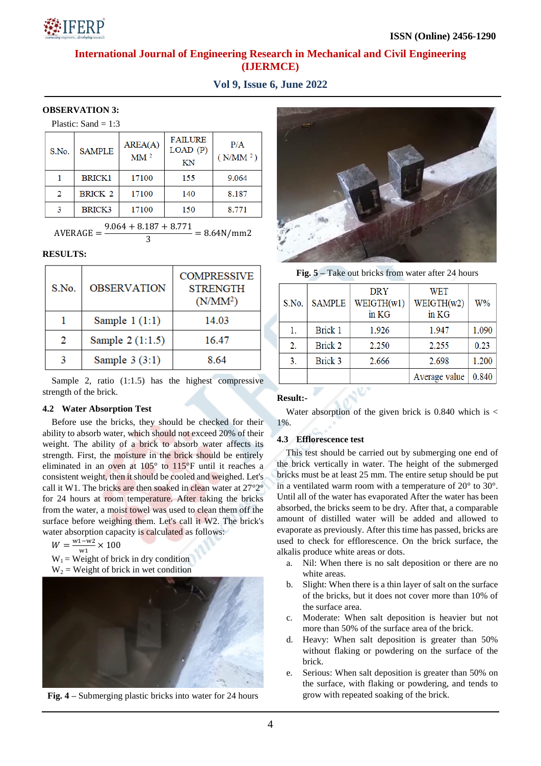

**Vol 9, Issue 6, June 2022**

## **OBSERVATION 3:**

| Plastic: Sand $= 1:3$ |  |  |
|-----------------------|--|--|
|-----------------------|--|--|

| S.No.                   | <b>SAMPLE</b>  | AREA(A)<br>$\text{MM}$ $^2$ | <b>FAILURE</b><br>LOAD(P)<br>KN | P/A<br>(N/MM <sup>2</sup> ) |
|-------------------------|----------------|-----------------------------|---------------------------------|-----------------------------|
|                         | <b>BRICK1</b>  | 17100                       | 155                             | 9.064                       |
| 2                       | <b>BRICK 2</b> | 17100                       | 140                             | 8.187                       |
| 3                       | BRICK3         | 17100                       | 150                             | 8.771                       |
| $0.051 + 0.107 + 0.771$ |                |                             |                                 |                             |

$$
AVERAGE = \frac{9.064 + 8.187 + 8.771}{3} = 8.64 \text{N/mm2}
$$

## **RESULTS:**

| S.No. | <b>OBSERVATION</b> | <b>COMPRESSIVE</b><br><b>STRENGTH</b><br>(N/MM <sup>2</sup> ) |
|-------|--------------------|---------------------------------------------------------------|
|       | Sample $1(1:1)$    | 14.03                                                         |
| 2     | Sample 2 (1:1.5)   | 16.47                                                         |
|       | Sample $3(3:1)$    | 8.64                                                          |

Sample 2, ratio (1:1.5) has the highest compressive strength of the brick.

## **4.2 Water Absorption Test**

Before use the bricks, they should be checked for their ability to absorb water, which should not exceed 20% of their weight. The ability of a brick to absorb water affects its strength. First, the moisture in the brick should be entirely eliminated in an oven at 105° to 115°F until it reaches a consistent weight, then it should be cooled and weighed. Let's call it W1. The bricks are then soaked in clean water at 27°2° for 24 hours at room temperature. After taking the bricks from the water, a moist towel was used to clean them off the surface before weighing them. Let's call it W2. The brick's water absorption capacity is calculated as follows:

 $W = \frac{w}{x}$  $\frac{1 - w_2}{w_1}$   $\times$ 

- $W_1$  = Weight of brick in dry condition
- $W_2$  = Weight of brick in wet condition



**Fig. 4 –** Submerging plastic bricks into water for 24 hours



**Fig. 5 –** Take out bricks from water after 24 hours

| S.No.          | <b>SAMPLE</b>  | <b>DRY</b><br>WEIGHTH(w1)<br>in KG | <b>WET</b><br>WEIGHTH(w2)<br>in KG | $W\%$ |
|----------------|----------------|------------------------------------|------------------------------------|-------|
| 1.             | <b>Brick 1</b> | 1.926                              | 1.947                              | 1.090 |
| 2.             | <b>Brick 2</b> | 2.250                              | 2.255                              | 0.23  |
| 3 <sub>1</sub> | <b>Brick 3</b> | 2.666                              | 2.698                              | 1.200 |
|                |                |                                    | Average value                      | 0.840 |

## **Result:-**

Water absorption of the given brick is  $0.840$  which is < 1%.

## **4.3 Efflorescence test**

This test should be carried out by submerging one end of the brick vertically in water. The height of the submerged bricks must be at least 25 mm. The entire setup should be put in a ventilated warm room with a temperature of 20° to 30°. Until all of the water has evaporated After the water has been absorbed, the bricks seem to be dry. After that, a comparable amount of distilled water will be added and allowed to evaporate as previously. After this time has passed, bricks are used to check for efflorescence. On the brick surface, the alkalis produce white areas or dots.

- a. Nil: When there is no salt deposition or there are no white areas.
- b. Slight: When there is a thin layer of salt on the surface of the bricks, but it does not cover more than 10% of the surface area.
- c. Moderate: When salt deposition is heavier but not more than 50% of the surface area of the brick.
- d. Heavy: When salt deposition is greater than 50% without flaking or powdering on the surface of the brick.
- e. Serious: When salt deposition is greater than 50% on the surface, with flaking or powdering, and tends to grow with repeated soaking of the brick.